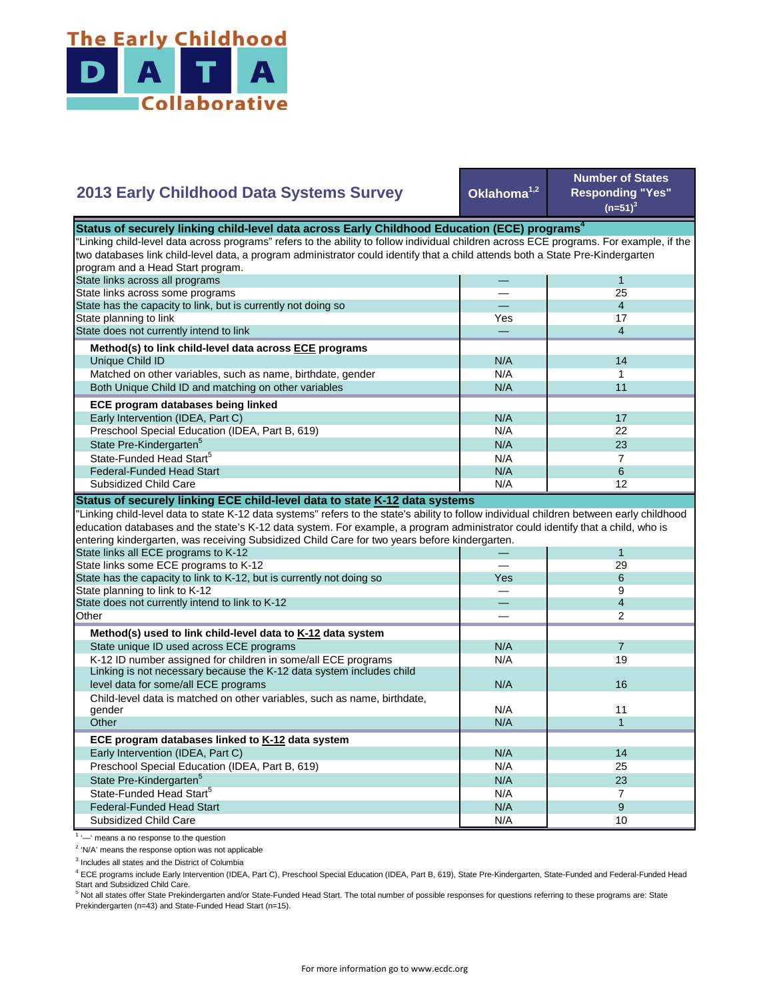

## **Oklahoma1,2 Number of States Responding "Yes"**   $(n=51)^{3}$ — 1 — 25 — 4 Yes **17** — 4 N/A 14  $N/A$  1 N/A 11  $N/A$  17 N/A 22  $N/A$  23  $N/A$  7 State Pre-Kindergarten<sup>5</sup> State-Funded Head Start<sup>5</sup> Matched on other variables, such as name, birthdate, gender Both Unique Child ID and matching on other variables  **ECE program databases being linked**  Early Intervention (IDEA, Part C) Preschool Special Education (IDEA, Part B, 619) State has the capacity to link, but is currently not doing so State planning to link State does not currently intend to link  **Method(s) to link child-level data across ECE programs** Unique Child ID **2013 Early Childhood Data Systems Survey** Status of securely linking child-level data across Early Childhood Education (ECE) programs<sup>4</sup> "Linking child-level data across programs" refers to the ability to follow individual children across ECE programs. For example, if the two databases link child-level data, a program administrator could identify that a child attends both a State Pre-Kindergarten program and a Head Start program. State links across all programs State links across some programs  $N/A$  6 N/A **1** 12 — 1 — 29 Yes 6 — 9 — 4 — 2  $N/A$  7 N/A 19 N/A N/A 11  $N/A$  1 N/A 14 N/A 25 N/A 23  $N/A$  7  $N/A$  9 N/A 10 Preschool Special Education (IDEA, Part B, 619) State Pre-Kindergarten<sup>5</sup> State-Funded Head Start<sup>5</sup> Federal-Funded Head Start Subsidized Child Care Child-level data is matched on other variables, such as name, birthdate, gender **Other ECE program databases linked to K-12 data system** Early Intervention (IDEA, Part C) **Other Method(s) used to link child-level data to K-12 data system** State unique ID used across ECE programs K-12 ID number assigned for children in some/all ECE programs Linking is not necessary because the K-12 data system includes child level data for some/all ECE programs 16 and 16 and 16 and 16 and 16 and 16 and 16 and 16 and 16 and 16 and 16  $\mu$ "Linking child-level data to state K-12 data systems" refers to the state's ability to follow individual children between early childhood education databases and the state's K-12 data system. For example, a program administrator could identify that a child, who is entering kindergarten, was receiving Subsidized Child Care for two years before kindergarten. State links all ECE programs to K-12 State links some ECE programs to K-12 State has the capacity to link to K-12, but is currently not doing so State planning to link to K-12 State does not currently intend to link to K-12 Federal-Funded Head Start Subsidized Child Care **Status of securely linking ECE child-level data to state K-12 data systems**

<sup>1</sup> '-' means a no response to the question

<sup>2</sup> 'N/A' means the response option was not applicable

<sup>3</sup> Includes all states and the District of Columbia

<sup>4</sup> ECE programs include Early Intervention (IDEA, Part C), Preschool Special Education (IDEA, Part B, 619), State Pre-Kindergarten, State-Funded and Federal-Funded Head Start and Subsidized Child Care.

<sup>5</sup> Not all states offer State Prekindergarten and/or State-Funded Head Start. The total number of possible responses for questions referring to these programs are: State Prekindergarten (n=43) and State-Funded Head Start (n=15).